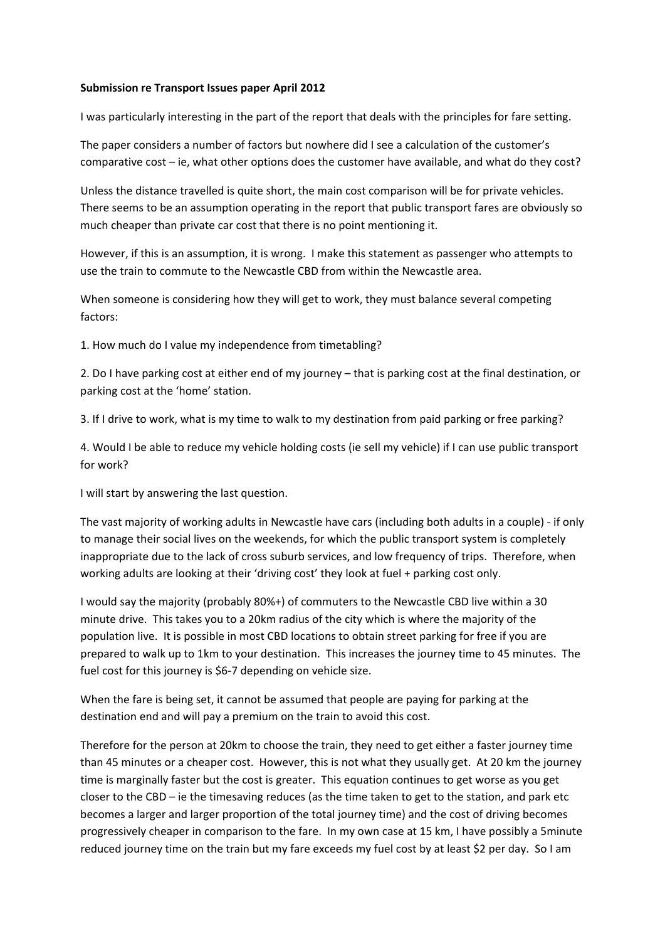## **Submission re Transport Issues paper April 2012**

I was particularly interesting in the part of the report that deals with the principles for fare setting.

The paper considers a number of factors but nowhere did I see a calculation of the customer's comparative cost – ie, what other options does the customer have available, and what do they cost?

Unless the distance travelled is quite short, the main cost comparison will be for private vehicles. There seems to be an assumption operating in the report that public transport fares are obviously so much cheaper than private car cost that there is no point mentioning it.

However, if this is an assumption, it is wrong. I make this statement as passenger who attempts to use the train to commute to the Newcastle CBD from within the Newcastle area.

When someone is considering how they will get to work, they must balance several competing factors:

1. How much do I value my independence from timetabling?

2. Do I have parking cost at either end of my journey – that is parking cost at the final destination, or parking cost at the 'home' station.

3. If I drive to work, what is my time to walk to my destination from paid parking or free parking?

4. Would I be able to reduce my vehicle holding costs (ie sell my vehicle) if I can use public transport for work?

I will start by answering the last question.

The vast majority of working adults in Newcastle have cars (including both adults in a couple) ‐ if only to manage their social lives on the weekends, for which the public transport system is completely inappropriate due to the lack of cross suburb services, and low frequency of trips. Therefore, when working adults are looking at their 'driving cost' they look at fuel + parking cost only.

I would say the majority (probably 80%+) of commuters to the Newcastle CBD live within a 30 minute drive. This takes you to a 20km radius of the city which is where the majority of the population live. It is possible in most CBD locations to obtain street parking for free if you are prepared to walk up to 1km to your destination. This increases the journey time to 45 minutes. The fuel cost for this journey is \$6-7 depending on vehicle size.

When the fare is being set, it cannot be assumed that people are paying for parking at the destination end and will pay a premium on the train to avoid this cost.

Therefore for the person at 20km to choose the train, they need to get either a faster journey time than 45 minutes or a cheaper cost. However, this is not what they usually get. At 20 km the journey time is marginally faster but the cost is greater. This equation continues to get worse as you get closer to the CBD – ie the timesaving reduces (as the time taken to get to the station, and park etc becomes a larger and larger proportion of the total journey time) and the cost of driving becomes progressively cheaper in comparison to the fare. In my own case at 15 km, I have possibly a 5minute reduced journey time on the train but my fare exceeds my fuel cost by at least \$2 per day. So I am